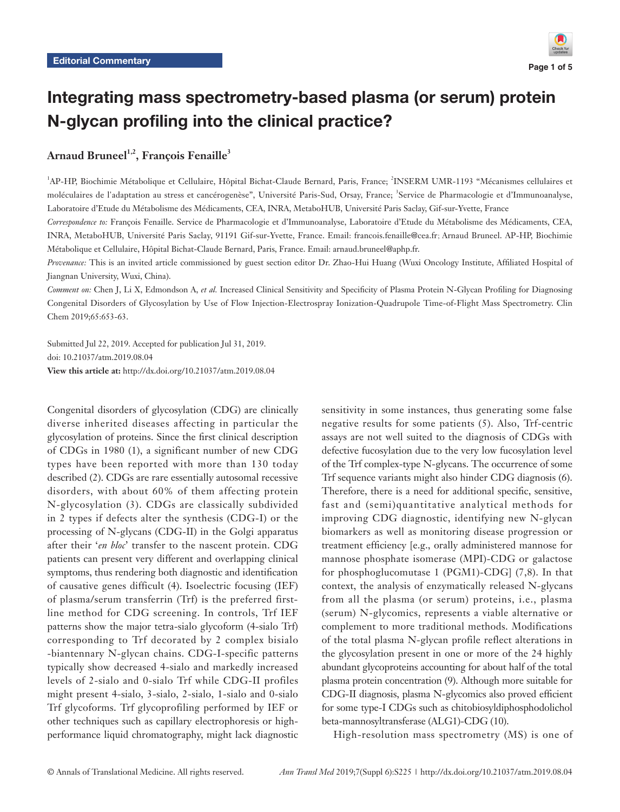

# Integrating mass spectrometry-based plasma (or serum) protein N-glycan profiling into the clinical practice?

# Arnaud Bruneel<sup>1,2</sup>, François Fenaille<sup>3</sup>

<sup>1</sup>AP-HP, Biochimie Métabolique et Cellulaire, Hôpital Bichat-Claude Bernard, Paris, France; <sup>2</sup>INSERM UMR-1193 "Mécanismes cellulaires et moléculaires de l'adaptation au stress et cancérogenèse", Université Paris-Sud, Orsay, France; <sup>3</sup>Service de Pharmacologie et d'Immunoanalyse, Laboratoire d'Etude du Métabolisme des Médicaments, CEA, INRA, MetaboHUB, Université Paris Saclay, Gif-sur-Yvette, France

*Correspondence to:* François Fenaille. Service de Pharmacologie et d'Immunoanalyse, Laboratoire d'Etude du Métabolisme des Médicaments, CEA, INRA, MetaboHUB, Université Paris Saclay, 91191 Gif-sur-Yvette, France. Email: francois.fenaille@cea.fr; Arnaud Bruneel. AP-HP, Biochimie Métabolique et Cellulaire, Hôpital Bichat-Claude Bernard, Paris, France. Email: arnaud.bruneel@aphp.fr.

*Provenance:* This is an invited article commissioned by guest section editor Dr. Zhao-Hui Huang (Wuxi Oncology Institute, Affiliated Hospital of Jiangnan University, Wuxi, China).

*Comment on:* Chen J, Li X, Edmondson A, *et al.* Increased Clinical Sensitivity and Specificity of Plasma Protein N-Glycan Profiling for Diagnosing Congenital Disorders of Glycosylation by Use of Flow Injection-Electrospray Ionization-Quadrupole Time-of-Flight Mass Spectrometry. Clin Chem 2019;65:653-63.

Submitted Jul 22, 2019. Accepted for publication Jul 31, 2019. doi: 10.21037/atm.2019.08.04 **View this article at:** http://dx.doi.org/10.21037/atm.2019.08.04

Congenital disorders of glycosylation (CDG) are clinically diverse inherited diseases affecting in particular the glycosylation of proteins. Since the first clinical description of CDGs in 1980 (1), a significant number of new CDG types have been reported with more than 130 today described (2). CDGs are rare essentially autosomal recessive disorders, with about 60% of them affecting protein N-glycosylation (3). CDGs are classically subdivided in 2 types if defects alter the synthesis (CDG-I) or the processing of N-glycans (CDG-II) in the Golgi apparatus after their '*en bloc*' transfer to the nascent protein. CDG patients can present very different and overlapping clinical symptoms, thus rendering both diagnostic and identification of causative genes difficult (4). Isoelectric focusing (IEF) of plasma/serum transferrin (Trf) is the preferred firstline method for CDG screening. In controls, Trf IEF patterns show the major tetra-sialo glycoform (4-sialo Trf) corresponding to Trf decorated by 2 complex bisialo -biantennary N-glycan chains. CDG-I-specific patterns typically show decreased 4-sialo and markedly increased levels of 2-sialo and 0-sialo Trf while CDG-II profiles might present 4-sialo, 3-sialo, 2-sialo, 1-sialo and 0-sialo Trf glycoforms. Trf glycoprofiling performed by IEF or other techniques such as capillary electrophoresis or highperformance liquid chromatography, might lack diagnostic

sensitivity in some instances, thus generating some false negative results for some patients (5). Also, Trf-centric assays are not well suited to the diagnosis of CDGs with defective fucosylation due to the very low fucosylation level of the Trf complex-type N-glycans. The occurrence of some Trf sequence variants might also hinder CDG diagnosis (6). Therefore, there is a need for additional specific, sensitive, fast and (semi)quantitative analytical methods for improving CDG diagnostic, identifying new N-glycan biomarkers as well as monitoring disease progression or treatment efficiency [e.g., orally administered mannose for mannose phosphate isomerase (MPI)-CDG or galactose for phosphoglucomutase 1 (PGM1)-CDG] (7,8). In that context, the analysis of enzymatically released N-glycans from all the plasma (or serum) proteins, i.e., plasma (serum) N-glycomics, represents a viable alternative or complement to more traditional methods. Modifications of the total plasma N-glycan profile reflect alterations in the glycosylation present in one or more of the 24 highly abundant glycoproteins accounting for about half of the total plasma protein concentration (9). Although more suitable for CDG-II diagnosis, plasma N-glycomics also proved efficient for some type-I CDGs such as chitobiosyldiphosphodolichol beta-mannosyltransferase (ALG1)-CDG (10).

High-resolution mass spectrometry (MS) is one of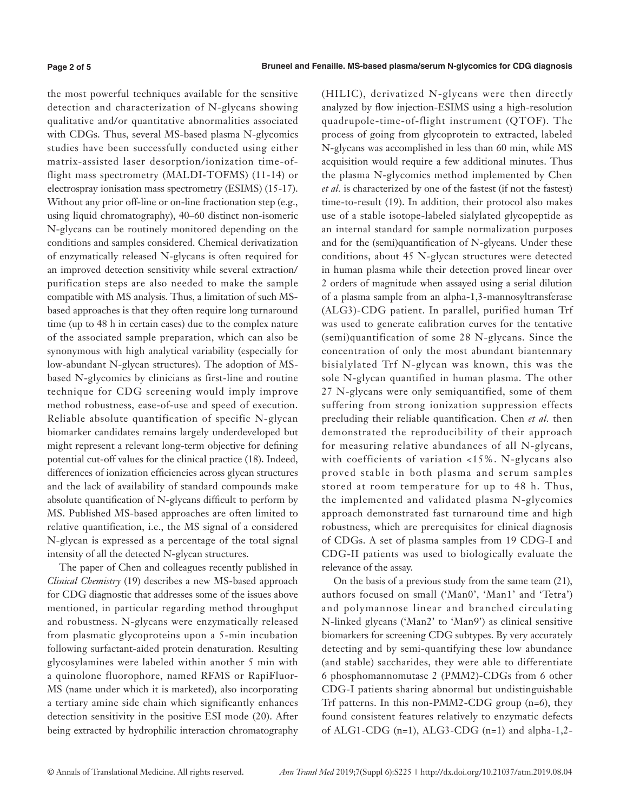the most powerful techniques available for the sensitive detection and characterization of N-glycans showing qualitative and/or quantitative abnormalities associated with CDGs. Thus, several MS-based plasma N-glycomics studies have been successfully conducted using either matrix-assisted laser desorption/ionization time-offlight mass spectrometry (MALDI-TOFMS) (11-14) or electrospray ionisation mass spectrometry (ESIMS) (15-17). Without any prior off-line or on-line fractionation step (e.g., using liquid chromatography), 40–60 distinct non-isomeric N-glycans can be routinely monitored depending on the conditions and samples considered. Chemical derivatization of enzymatically released N-glycans is often required for an improved detection sensitivity while several extraction/ purification steps are also needed to make the sample compatible with MS analysis. Thus, a limitation of such MSbased approaches is that they often require long turnaround time (up to 48 h in certain cases) due to the complex nature of the associated sample preparation, which can also be synonymous with high analytical variability (especially for low-abundant N-glycan structures). The adoption of MSbased N-glycomics by clinicians as first-line and routine technique for CDG screening would imply improve method robustness, ease-of-use and speed of execution. Reliable absolute quantification of specific N-glycan biomarker candidates remains largely underdeveloped but might represent a relevant long-term objective for defining potential cut-off values for the clinical practice (18). Indeed, differences of ionization efficiencies across glycan structures and the lack of availability of standard compounds make absolute quantification of N-glycans difficult to perform by MS. Published MS-based approaches are often limited to relative quantification, i.e., the MS signal of a considered N-glycan is expressed as a percentage of the total signal intensity of all the detected N-glycan structures.

The paper of Chen and colleagues recently published in *Clinical Chemistry* (19) describes a new MS-based approach for CDG diagnostic that addresses some of the issues above mentioned, in particular regarding method throughput and robustness. N-glycans were enzymatically released from plasmatic glycoproteins upon a 5-min incubation following surfactant-aided protein denaturation. Resulting glycosylamines were labeled within another 5 min with a quinolone fluorophore, named RFMS or RapiFluor-MS (name under which it is marketed), also incorporating a tertiary amine side chain which significantly enhances detection sensitivity in the positive ESI mode (20). After being extracted by hydrophilic interaction chromatography (HILIC), derivatized N-glycans were then directly analyzed by flow injection-ESIMS using a high-resolution quadrupole-time-of-flight instrument (QTOF). The process of going from glycoprotein to extracted, labeled N-glycans was accomplished in less than 60 min, while MS acquisition would require a few additional minutes. Thus the plasma N-glycomics method implemented by Chen *et al.* is characterized by one of the fastest (if not the fastest) time-to-result (19). In addition, their protocol also makes use of a stable isotope-labeled sialylated glycopeptide as an internal standard for sample normalization purposes and for the (semi)quantification of N-glycans. Under these conditions, about 45 N-glycan structures were detected in human plasma while their detection proved linear over 2 orders of magnitude when assayed using a serial dilution of a plasma sample from an alpha-1,3-mannosyltransferase (ALG3)-CDG patient. In parallel, purified human Trf was used to generate calibration curves for the tentative (semi)quantification of some 28 N-glycans. Since the concentration of only the most abundant biantennary bisialylated Trf N-glycan was known, this was the sole N-glycan quantified in human plasma. The other 27 N-glycans were only semiquantified, some of them suffering from strong ionization suppression effects precluding their reliable quantification. Chen *et al.* then demonstrated the reproducibility of their approach for measuring relative abundances of all N-glycans, with coefficients of variation <15%. N-glycans also proved stable in both plasma and serum samples stored at room temperature for up to 48 h. Thus, the implemented and validated plasma N-glycomics approach demonstrated fast turnaround time and high robustness, which are prerequisites for clinical diagnosis of CDGs. A set of plasma samples from 19 CDG-I and CDG-II patients was used to biologically evaluate the relevance of the assay.

On the basis of a previous study from the same team (21), authors focused on small ('Man0', 'Man1' and 'Tetra') and polymannose linear and branched circulating N-linked glycans ('Man2' to 'Man9') as clinical sensitive biomarkers for screening CDG subtypes. By very accurately detecting and by semi-quantifying these low abundance (and stable) saccharides, they were able to differentiate 6 phosphomannomutase 2 (PMM2)-CDGs from 6 other CDG-I patients sharing abnormal but undistinguishable Trf patterns. In this non-PMM2-CDG group (n=6), they found consistent features relatively to enzymatic defects of ALG1-CDG (n=1), ALG3-CDG (n=1) and alpha-1,2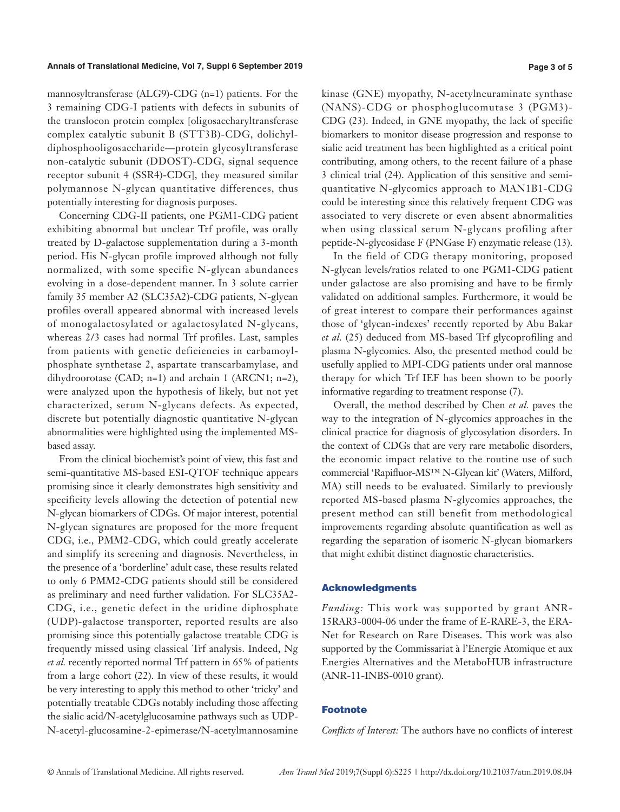mannosyltransferase (ALG9)-CDG (n=1) patients. For the 3 remaining CDG-I patients with defects in subunits of the translocon protein complex [oligosaccharyltransferase complex catalytic subunit B (STT3B)-CDG, dolichyldiphosphooligosaccharide—protein glycosyltransferase non-catalytic subunit (DDOST)-CDG, signal sequence receptor subunit 4 (SSR4)-CDG], they measured similar polymannose N-glycan quantitative differences, thus potentially interesting for diagnosis purposes.

Concerning CDG-II patients, one PGM1-CDG patient exhibiting abnormal but unclear Trf profile, was orally treated by D-galactose supplementation during a 3-month period. His N-glycan profile improved although not fully normalized, with some specific N-glycan abundances evolving in a dose-dependent manner. In 3 solute carrier family 35 member A2 (SLC35A2)-CDG patients, N-glycan profiles overall appeared abnormal with increased levels of monogalactosylated or agalactosylated N-glycans, whereas 2/3 cases had normal Trf profiles. Last, samples from patients with genetic deficiencies in carbamoylphosphate synthetase 2, aspartate transcarbamylase, and dihydroorotase (CAD; n=1) and archain 1 (ARCN1; n=2), were analyzed upon the hypothesis of likely, but not yet characterized, serum N-glycans defects. As expected, discrete but potentially diagnostic quantitative N-glycan abnormalities were highlighted using the implemented MSbased assay.

From the clinical biochemist's point of view, this fast and semi-quantitative MS-based ESI-QTOF technique appears promising since it clearly demonstrates high sensitivity and specificity levels allowing the detection of potential new N-glycan biomarkers of CDGs. Of major interest, potential N-glycan signatures are proposed for the more frequent CDG, i.e., PMM2-CDG, which could greatly accelerate and simplify its screening and diagnosis. Nevertheless, in the presence of a 'borderline' adult case, these results related to only 6 PMM2-CDG patients should still be considered as preliminary and need further validation. For SLC35A2- CDG, i.e., genetic defect in the uridine diphosphate (UDP)-galactose transporter, reported results are also promising since this potentially galactose treatable CDG is frequently missed using classical Trf analysis. Indeed, Ng *et al.* recently reported normal Trf pattern in 65% of patients from a large cohort (22). In view of these results, it would be very interesting to apply this method to other 'tricky' and potentially treatable CDGs notably including those affecting the sialic acid/N-acetylglucosamine pathways such as UDP-N-acetyl-glucosamine-2-epimerase/N-acetylmannosamine

kinase (GNE) myopathy, N-acetylneuraminate synthase (NANS)-CDG or phosphoglucomutase 3 (PGM3)- CDG (23). Indeed, in GNE myopathy, the lack of specific biomarkers to monitor disease progression and response to sialic acid treatment has been highlighted as a critical point contributing, among others, to the recent failure of a phase 3 clinical trial (24). Application of this sensitive and semiquantitative N-glycomics approach to MAN1B1-CDG could be interesting since this relatively frequent CDG was associated to very discrete or even absent abnormalities when using classical serum N-glycans profiling after peptide-N-glycosidase F (PNGase F) enzymatic release (13).

In the field of CDG therapy monitoring, proposed N-glycan levels/ratios related to one PGM1-CDG patient under galactose are also promising and have to be firmly validated on additional samples. Furthermore, it would be of great interest to compare their performances against those of 'glycan-indexes' recently reported by Abu Bakar *et al.* (25) deduced from MS-based Trf glycoprofiling and plasma N-glycomics. Also, the presented method could be usefully applied to MPI-CDG patients under oral mannose therapy for which Trf IEF has been shown to be poorly informative regarding to treatment response (7).

Overall, the method described by Chen *et al.* paves the way to the integration of N-glycomics approaches in the clinical practice for diagnosis of glycosylation disorders. In the context of CDGs that are very rare metabolic disorders, the economic impact relative to the routine use of such commercial 'Rapifluor-MS™ N-Glycan kit' (Waters, Milford, MA) still needs to be evaluated. Similarly to previously reported MS-based plasma N-glycomics approaches, the present method can still benefit from methodological improvements regarding absolute quantification as well as regarding the separation of isomeric N-glycan biomarkers that might exhibit distinct diagnostic characteristics.

#### Acknowledgments

*Funding:* This work was supported by grant ANR-15RAR3-0004-06 under the frame of E-RARE-3, the ERA-Net for Research on Rare Diseases. This work was also supported by the Commissariat à l'Energie Atomique et aux Energies Alternatives and the MetaboHUB infrastructure (ANR-11-INBS-0010 grant).

#### **Footnote**

*Conflicts of Interest:* The authors have no conflicts of interest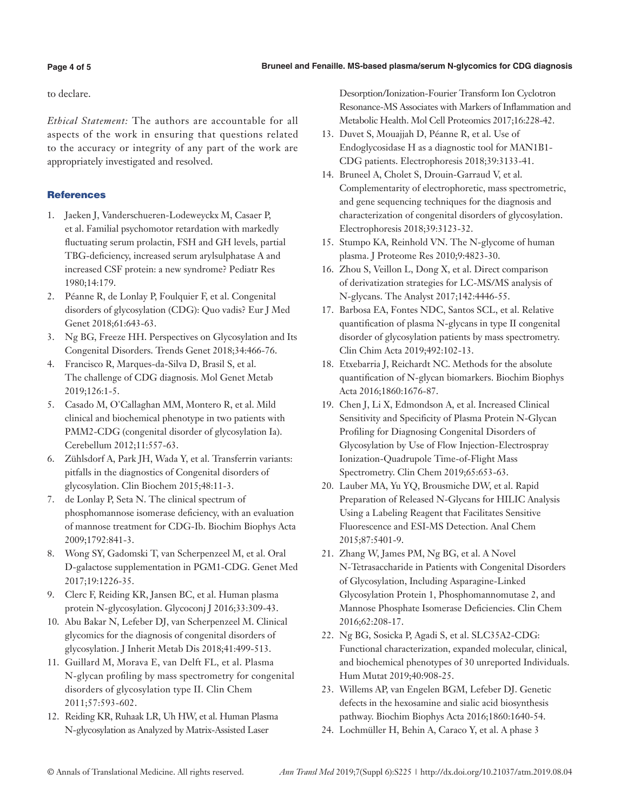#### **Bruneel and Fenaille. MS-based plasma/serum N-glycomics for CDG diagnosis**

### **Page 4 of 5**

to declare.

*Ethical Statement:* The authors are accountable for all aspects of the work in ensuring that questions related to the accuracy or integrity of any part of the work are appropriately investigated and resolved.

## **References**

- 1. Jaeken J, Vanderschueren-Lodeweyckx M, Casaer P, et al. Familial psychomotor retardation with markedly fluctuating serum prolactin, FSH and GH levels, partial TBG-deficiency, increased serum arylsulphatase A and increased CSF protein: a new syndrome? Pediatr Res 1980;14:179.
- 2. Péanne R, de Lonlay P, Foulquier F, et al. Congenital disorders of glycosylation (CDG): Quo vadis? Eur J Med Genet 2018;61:643-63.
- 3. Ng BG, Freeze HH. Perspectives on Glycosylation and Its Congenital Disorders. Trends Genet 2018;34:466-76.
- 4. Francisco R, Marques-da-Silva D, Brasil S, et al. The challenge of CDG diagnosis. Mol Genet Metab 2019;126:1-5.
- 5. Casado M, O'Callaghan MM, Montero R, et al. Mild clinical and biochemical phenotype in two patients with PMM2-CDG (congenital disorder of glycosylation Ia). Cerebellum 2012;11:557-63.
- 6. Zühlsdorf A, Park JH, Wada Y, et al. Transferrin variants: pitfalls in the diagnostics of Congenital disorders of glycosylation. Clin Biochem 2015;48:11-3.
- 7. de Lonlay P, Seta N. The clinical spectrum of phosphomannose isomerase deficiency, with an evaluation of mannose treatment for CDG-Ib. Biochim Biophys Acta 2009;1792:841-3.
- 8. Wong SY, Gadomski T, van Scherpenzeel M, et al. Oral D-galactose supplementation in PGM1-CDG. Genet Med 2017;19:1226-35.
- 9. Clerc F, Reiding KR, Jansen BC, et al. Human plasma protein N-glycosylation. Glycoconj J 2016;33:309-43.
- 10. Abu Bakar N, Lefeber DJ, van Scherpenzeel M. Clinical glycomics for the diagnosis of congenital disorders of glycosylation. J Inherit Metab Dis 2018;41:499-513.
- 11. Guillard M, Morava E, van Delft FL, et al. Plasma N-glycan profiling by mass spectrometry for congenital disorders of glycosylation type II. Clin Chem 2011;57:593-602.
- 12. Reiding KR, Ruhaak LR, Uh HW, et al. Human Plasma N-glycosylation as Analyzed by Matrix-Assisted Laser

Desorption/Ionization-Fourier Transform Ion Cyclotron Resonance-MS Associates with Markers of Inflammation and Metabolic Health. Mol Cell Proteomics 2017;16:228-42.

- 13. Duvet S, Mouajjah D, Péanne R, et al. Use of Endoglycosidase H as a diagnostic tool for MAN1B1- CDG patients. Electrophoresis 2018;39:3133-41.
- 14. Bruneel A, Cholet S, Drouin-Garraud V, et al. Complementarity of electrophoretic, mass spectrometric, and gene sequencing techniques for the diagnosis and characterization of congenital disorders of glycosylation. Electrophoresis 2018;39:3123-32.
- 15. Stumpo KA, Reinhold VN. The N-glycome of human plasma. J Proteome Res 2010;9:4823-30.
- 16. Zhou S, Veillon L, Dong X, et al. Direct comparison of derivatization strategies for LC-MS/MS analysis of N-glycans. The Analyst 2017;142:4446-55.
- 17. Barbosa EA, Fontes NDC, Santos SCL, et al. Relative quantification of plasma N-glycans in type II congenital disorder of glycosylation patients by mass spectrometry. Clin Chim Acta 2019;492:102-13.
- 18. Etxebarria J, Reichardt NC. Methods for the absolute quantification of N-glycan biomarkers. Biochim Biophys Acta 2016;1860:1676-87.
- 19. Chen J, Li X, Edmondson A, et al. Increased Clinical Sensitivity and Specificity of Plasma Protein N-Glycan Profiling for Diagnosing Congenital Disorders of Glycosylation by Use of Flow Injection-Electrospray Ionization-Quadrupole Time-of-Flight Mass Spectrometry. Clin Chem 2019;65:653-63.
- 20. Lauber MA, Yu YQ, Brousmiche DW, et al. Rapid Preparation of Released N-Glycans for HILIC Analysis Using a Labeling Reagent that Facilitates Sensitive Fluorescence and ESI-MS Detection. Anal Chem 2015;87:5401-9.
- 21. Zhang W, James PM, Ng BG, et al. A Novel N-Tetrasaccharide in Patients with Congenital Disorders of Glycosylation, Including Asparagine-Linked Glycosylation Protein 1, Phosphomannomutase 2, and Mannose Phosphate Isomerase Deficiencies. Clin Chem 2016;62:208-17.
- 22. Ng BG, Sosicka P, Agadi S, et al. SLC35A2-CDG: Functional characterization, expanded molecular, clinical, and biochemical phenotypes of 30 unreported Individuals. Hum Mutat 2019;40:908-25.
- 23. Willems AP, van Engelen BGM, Lefeber DJ. Genetic defects in the hexosamine and sialic acid biosynthesis pathway. Biochim Biophys Acta 2016;1860:1640-54.
- 24. Lochmüller H, Behin A, Caraco Y, et al. A phase 3